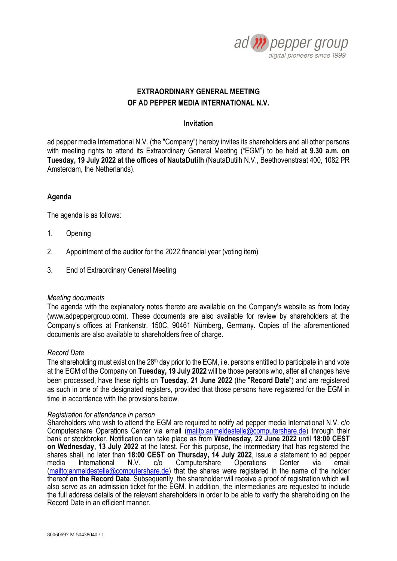

# **EXTRAORDINARY GENERAL MEETING OF AD PEPPER MEDIA INTERNATIONAL N.V.**

## **Invitation**

ad pepper media International N.V. (the "Company") hereby invites its shareholders and all other persons with meeting rights to attend its Extraordinary General Meeting ("EGM") to be held **at 9.30 a.m. on Tuesday, 19 July 2022 at the offices of NautaDutilh** (NautaDutilh N.V., Beethovenstraat 400, 1082 PR Amsterdam, the Netherlands).

## **Agenda**

The agenda is as follows:

- 1. Opening
- 2. Appointment of the auditor for the 2022 financial year (voting item)
- 3. End of Extraordinary General Meeting

## *Meeting documents*

The agenda with the explanatory notes thereto are available on the Company's website as from today [\(www.adpeppergroup.com\)](http://www.adpeppergroup.com/). These documents are also available for review by shareholders at the Company's offices at Frankenstr. 150C, 90461 Nürnberg, Germany. Copies of the aforementioned documents are also available to shareholders free of charge.

## *Record Date*

The shareholding must exist on the 28<sup>th</sup> day prior to the EGM, i.e. persons entitled to participate in and vote at the EGM of the Company on **Tuesday, 19 July 2022** will be those persons who, after all changes have been processed, have these rights on **Tuesday, 21 June 2022** (the "**Record Date**") and are registered as such in one of the designated registers, provided that those persons have registered for the EGM in time in accordance with the provisions below.

### *Registration for attendance in person*

Shareholders who wish to attend the EGM are required to notify ad pepper media International N.V. c/o Computershare Operations Center via email (mailto: anmeldestelle@computershare.de) through their bank or stockbroker. Notification can take place as from **Wednesday, 22 June 2022** until **18:00 CEST on Wednesday, 13 July 2022** at the latest. For this purpose, the intermediary that has registered the shares shall, no later than **18:00 CEST on Thursday, 14 July 2022**, issue a statement to ad pepper media International N.V. c/o Computershare Operations Center via email [\(mailto:anmeldestelle@computershare.de\)](mailto:anmeldestelle@computershare.de) that the shares were registered in the name of the holder thereof **on the Record Date**. Subsequently, the shareholder will receive a proof of registration which will also serve as an admission ticket for the EGM. In addition, the intermediaries are requested to include the full address details of the relevant shareholders in order to be able to verify the shareholding on the Record Date in an efficient manner.